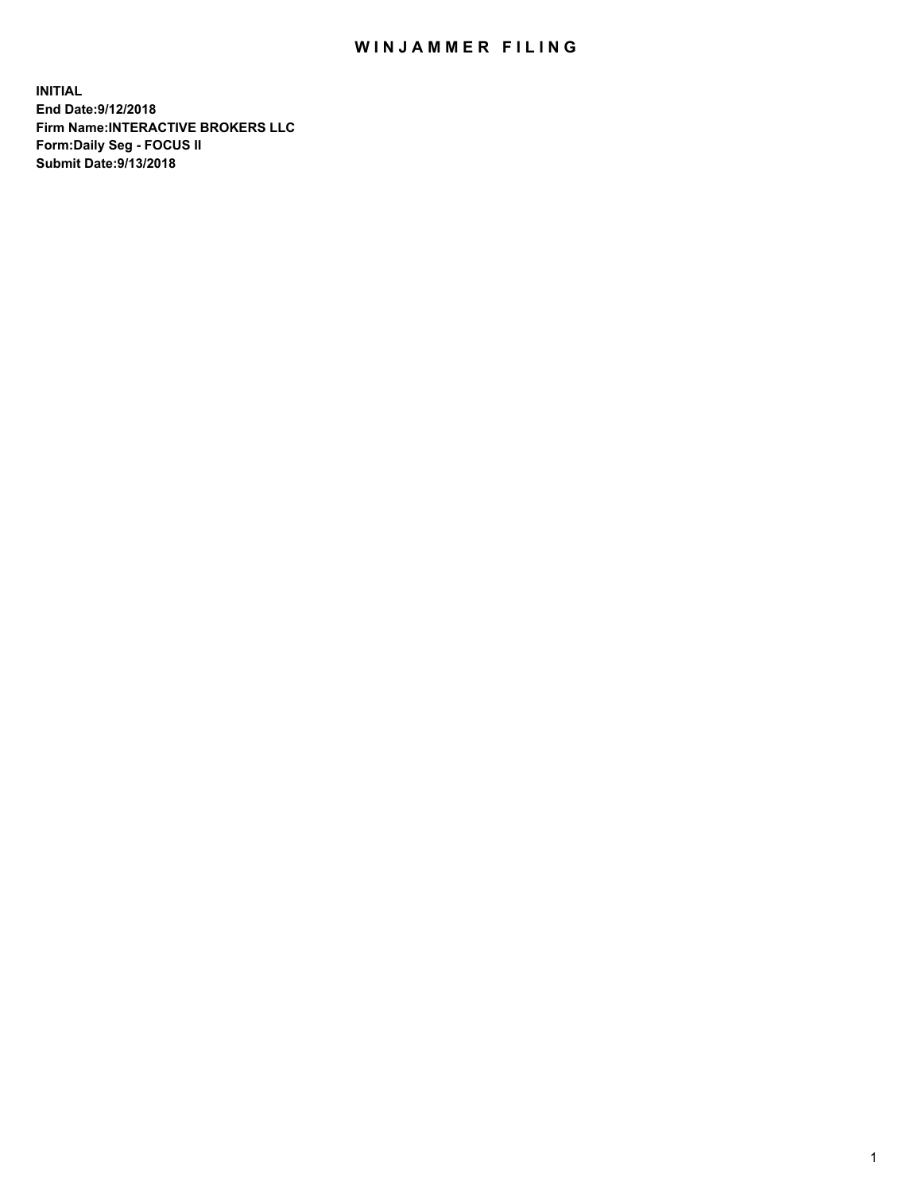## WIN JAMMER FILING

**INITIAL End Date:9/12/2018 Firm Name:INTERACTIVE BROKERS LLC Form:Daily Seg - FOCUS II Submit Date:9/13/2018**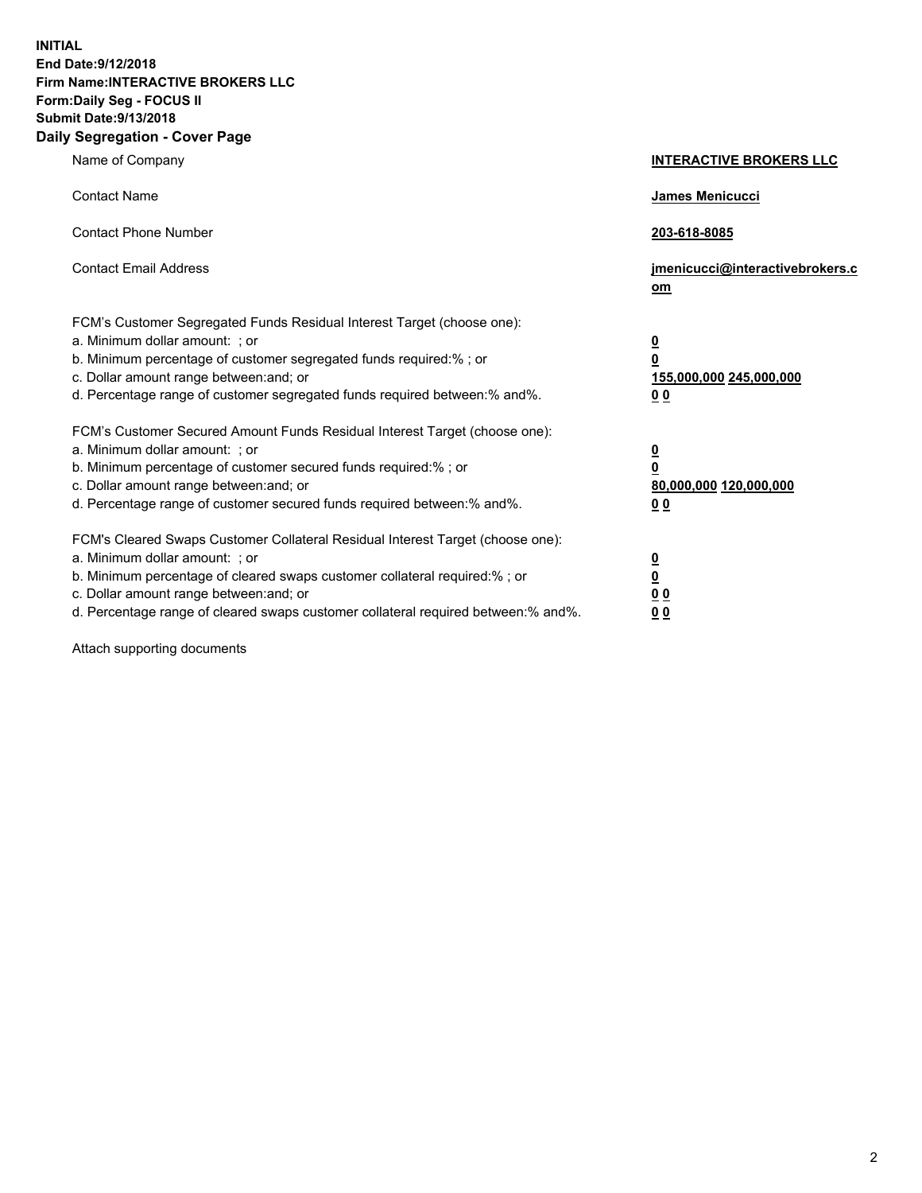**INITIAL End Date:9/12/2018 Firm Name:INTERACTIVE BROKERS LLC Form:Daily Seg - FOCUS II Submit Date:9/13/2018 Daily Segregation - Cover Page**

| Name of Company                                                                                                                                                                                                                                                                                                                | <b>INTERACTIVE BROKERS LLC</b>                                                                  |
|--------------------------------------------------------------------------------------------------------------------------------------------------------------------------------------------------------------------------------------------------------------------------------------------------------------------------------|-------------------------------------------------------------------------------------------------|
| <b>Contact Name</b>                                                                                                                                                                                                                                                                                                            | James Menicucci                                                                                 |
| <b>Contact Phone Number</b>                                                                                                                                                                                                                                                                                                    | 203-618-8085                                                                                    |
| <b>Contact Email Address</b>                                                                                                                                                                                                                                                                                                   | jmenicucci@interactivebrokers.c<br>om                                                           |
| FCM's Customer Segregated Funds Residual Interest Target (choose one):<br>a. Minimum dollar amount: ; or<br>b. Minimum percentage of customer segregated funds required:% ; or<br>c. Dollar amount range between: and; or<br>d. Percentage range of customer segregated funds required between:% and%.                         | $\overline{\mathbf{0}}$<br>$\overline{\mathbf{0}}$<br>155,000,000 245,000,000<br>0 <sub>0</sub> |
| FCM's Customer Secured Amount Funds Residual Interest Target (choose one):<br>a. Minimum dollar amount: ; or<br>b. Minimum percentage of customer secured funds required:% ; or<br>c. Dollar amount range between: and; or<br>d. Percentage range of customer secured funds required between:% and%.                           | $\overline{\mathbf{0}}$<br>0<br>80,000,000 120,000,000<br>0 <sub>0</sub>                        |
| FCM's Cleared Swaps Customer Collateral Residual Interest Target (choose one):<br>a. Minimum dollar amount: ; or<br>b. Minimum percentage of cleared swaps customer collateral required:% ; or<br>c. Dollar amount range between: and; or<br>d. Percentage range of cleared swaps customer collateral required between:% and%. | $\overline{\mathbf{0}}$<br><u>0</u><br>$\underline{0}$ $\underline{0}$<br>00                    |

Attach supporting documents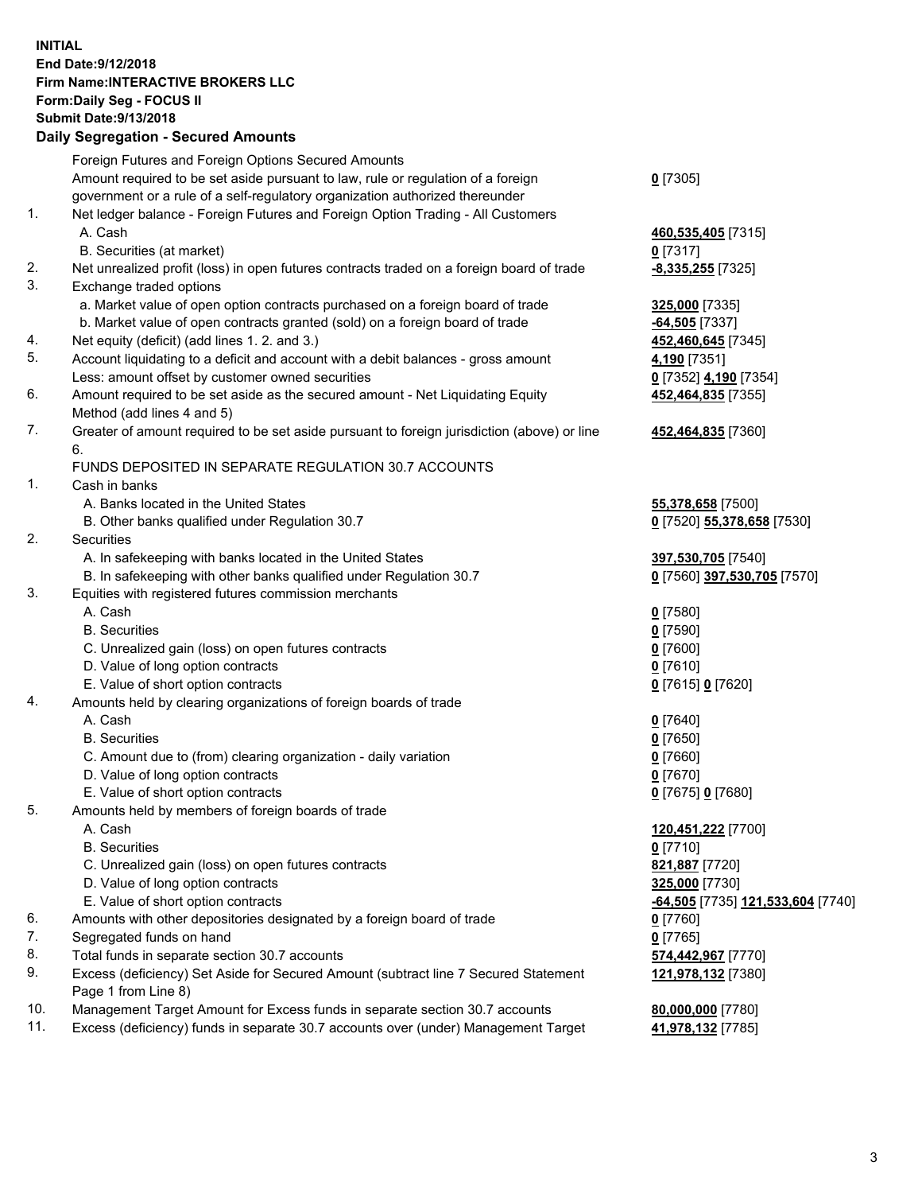## **INITIAL End Date:9/12/2018 Firm Name:INTERACTIVE BROKERS LLC Form:Daily Seg - FOCUS II Submit Date:9/13/2018 Daily Segregation - Secured Amounts**

|                | Daily Segregation - Secured Amounts                                                                                                  |                                          |
|----------------|--------------------------------------------------------------------------------------------------------------------------------------|------------------------------------------|
|                | Foreign Futures and Foreign Options Secured Amounts                                                                                  |                                          |
|                | Amount required to be set aside pursuant to law, rule or regulation of a foreign                                                     | $0$ [7305]                               |
|                | government or a rule of a self-regulatory organization authorized thereunder                                                         |                                          |
| $\mathbf{1}$ . | Net ledger balance - Foreign Futures and Foreign Option Trading - All Customers                                                      |                                          |
|                | A. Cash                                                                                                                              | 460,535,405 [7315]                       |
|                | B. Securities (at market)                                                                                                            | $0$ [7317]                               |
| 2.             | Net unrealized profit (loss) in open futures contracts traded on a foreign board of trade                                            | -8,335,255 [7325]                        |
| 3.             | Exchange traded options                                                                                                              |                                          |
|                | a. Market value of open option contracts purchased on a foreign board of trade                                                       | 325,000 [7335]                           |
|                | b. Market value of open contracts granted (sold) on a foreign board of trade                                                         | -64,505 [7337]                           |
| 4.             | Net equity (deficit) (add lines 1. 2. and 3.)                                                                                        | 452,460,645 [7345]                       |
| 5.             | Account liquidating to a deficit and account with a debit balances - gross amount                                                    | 4,190 [7351]                             |
|                | Less: amount offset by customer owned securities                                                                                     | 0 [7352] 4,190 [7354]                    |
| 6.             | Amount required to be set aside as the secured amount - Net Liquidating Equity                                                       | 452,464,835 [7355]                       |
|                | Method (add lines 4 and 5)                                                                                                           |                                          |
| 7.             | Greater of amount required to be set aside pursuant to foreign jurisdiction (above) or line                                          | 452,464,835 [7360]                       |
|                | 6.                                                                                                                                   |                                          |
|                | FUNDS DEPOSITED IN SEPARATE REGULATION 30.7 ACCOUNTS                                                                                 |                                          |
| 1.             | Cash in banks                                                                                                                        |                                          |
|                | A. Banks located in the United States                                                                                                | 55,378,658 [7500]                        |
|                | B. Other banks qualified under Regulation 30.7                                                                                       | 0 [7520] 55,378,658 [7530]               |
| 2.             | <b>Securities</b>                                                                                                                    |                                          |
|                | A. In safekeeping with banks located in the United States                                                                            | 397,530,705 [7540]                       |
|                | B. In safekeeping with other banks qualified under Regulation 30.7                                                                   | 0 [7560] 397,530,705 [7570]              |
| 3.             | Equities with registered futures commission merchants                                                                                |                                          |
|                | A. Cash                                                                                                                              | $0$ [7580]                               |
|                | <b>B.</b> Securities                                                                                                                 | $0$ [7590]                               |
|                | C. Unrealized gain (loss) on open futures contracts                                                                                  | $0$ [7600]                               |
|                | D. Value of long option contracts                                                                                                    | $0$ [7610]                               |
|                | E. Value of short option contracts                                                                                                   | 0 [7615] 0 [7620]                        |
| 4.             | Amounts held by clearing organizations of foreign boards of trade                                                                    |                                          |
|                | A. Cash                                                                                                                              | $0$ [7640]                               |
|                | <b>B.</b> Securities                                                                                                                 | $0$ [7650]                               |
|                | C. Amount due to (from) clearing organization - daily variation                                                                      | $0$ [7660]                               |
|                | D. Value of long option contracts                                                                                                    | $0$ [7670]                               |
|                | E. Value of short option contracts                                                                                                   | 0 [7675] 0 [7680]                        |
| 5.             | Amounts held by members of foreign boards of trade                                                                                   |                                          |
|                | A. Cash                                                                                                                              | 120,451,222 [7700]                       |
|                | <b>B.</b> Securities                                                                                                                 | $0$ [7710]                               |
|                | C. Unrealized gain (loss) on open futures contracts                                                                                  | 821,887 [7720]                           |
|                | D. Value of long option contracts                                                                                                    | 325,000 [7730]                           |
| 6.             | E. Value of short option contracts                                                                                                   | -64,505 [7735] 121,533,604 [7740]        |
| 7.             | Amounts with other depositories designated by a foreign board of trade<br>Segregated funds on hand                                   | 0 [7760]                                 |
| 8.             |                                                                                                                                      | $0$ [7765]                               |
| 9.             | Total funds in separate section 30.7 accounts<br>Excess (deficiency) Set Aside for Secured Amount (subtract line 7 Secured Statement | 574,442,967 [7770]<br>121,978,132 [7380] |
|                | Page 1 from Line 8)                                                                                                                  |                                          |
| 10.            | Management Target Amount for Excess funds in separate section 30.7 accounts                                                          | 80,000,000 [7780]                        |
| 11.            | Excess (deficiency) funds in separate 30.7 accounts over (under) Management Target                                                   | 41,978,132 [7785]                        |
|                |                                                                                                                                      |                                          |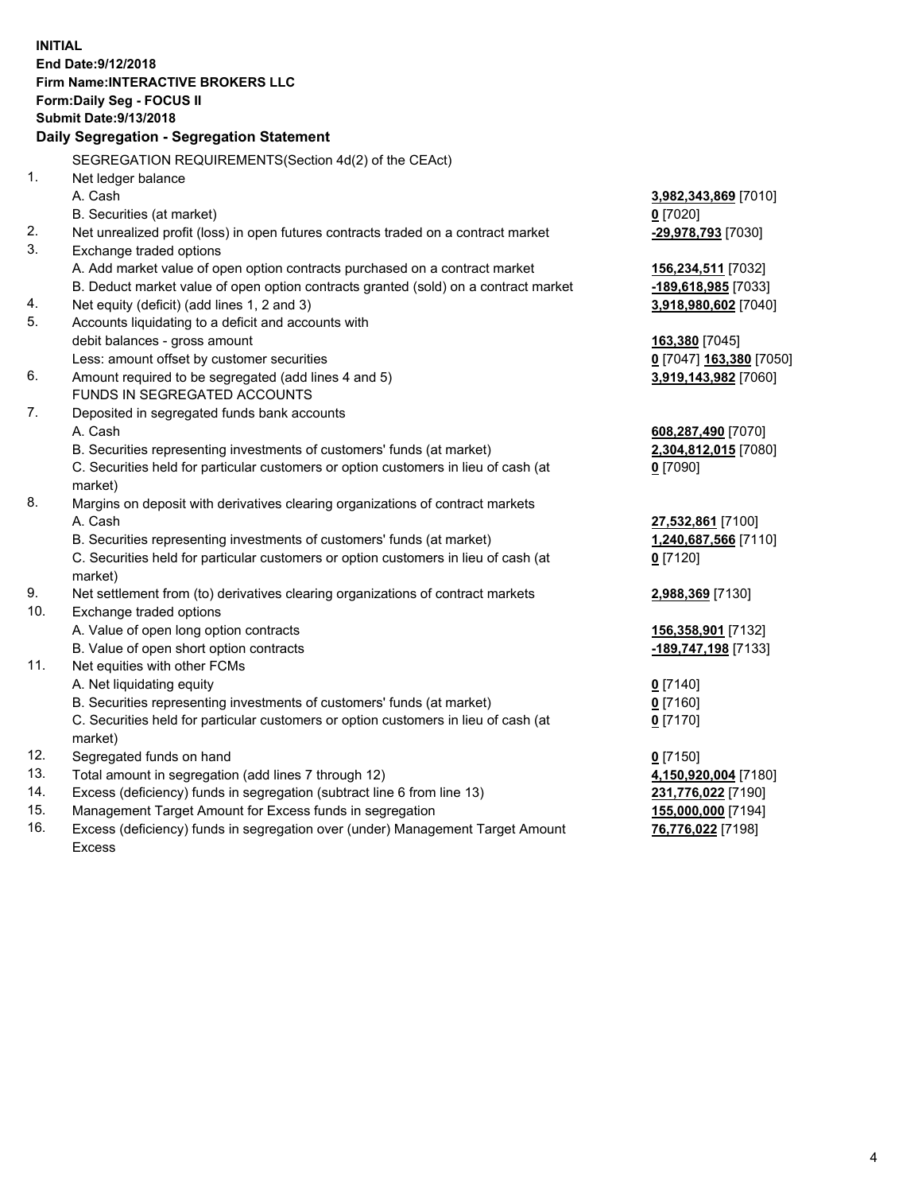**INITIAL End Date:9/12/2018 Firm Name:INTERACTIVE BROKERS LLC Form:Daily Seg - FOCUS II Submit Date:9/13/2018 Daily Segregation - Segregation Statement** SEGREGATION REQUIREMENTS(Section 4d(2) of the CEAct) 1. Net ledger balance A. Cash **3,982,343,869** [7010] B. Securities (at market) **0** [7020] 2. Net unrealized profit (loss) in open futures contracts traded on a contract market **-29,978,793** [7030] 3. Exchange traded options A. Add market value of open option contracts purchased on a contract market **156,234,511** [7032] B. Deduct market value of open option contracts granted (sold) on a contract market **-189,618,985** [7033] 4. Net equity (deficit) (add lines 1, 2 and 3) **3,918,980,602** [7040] 5. Accounts liquidating to a deficit and accounts with debit balances - gross amount **163,380** [7045] Less: amount offset by customer securities **0** [7047] **163,380** [7050] 6. Amount required to be segregated (add lines 4 and 5) **3,919,143,982** [7060] FUNDS IN SEGREGATED ACCOUNTS 7. Deposited in segregated funds bank accounts A. Cash **608,287,490** [7070] B. Securities representing investments of customers' funds (at market) **2,304,812,015** [7080] C. Securities held for particular customers or option customers in lieu of cash (at market) **0** [7090] 8. Margins on deposit with derivatives clearing organizations of contract markets A. Cash **27,532,861** [7100] B. Securities representing investments of customers' funds (at market) **1,240,687,566** [7110] C. Securities held for particular customers or option customers in lieu of cash (at market) **0** [7120] 9. Net settlement from (to) derivatives clearing organizations of contract markets **2,988,369** [7130] 10. Exchange traded options A. Value of open long option contracts **156,358,901** [7132] B. Value of open short option contracts **-189,747,198** [7133] 11. Net equities with other FCMs A. Net liquidating equity **0** [7140] B. Securities representing investments of customers' funds (at market) **0** [7160] C. Securities held for particular customers or option customers in lieu of cash (at market) **0** [7170] 12. Segregated funds on hand **0** [7150] 13. Total amount in segregation (add lines 7 through 12) **4,150,920,004** [7180] 14. Excess (deficiency) funds in segregation (subtract line 6 from line 13) **231,776,022** [7190] 15. Management Target Amount for Excess funds in segregation **155,000,000** [7194] **76,776,022** [7198]

16. Excess (deficiency) funds in segregation over (under) Management Target Amount Excess